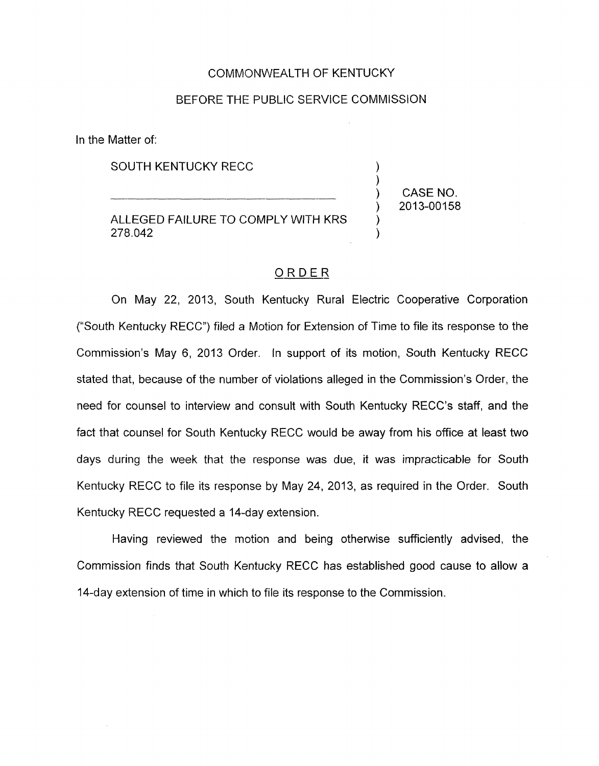## COMMONWEALTH OF KENTUCKY

## BEFORE THE PUBLIC SERVICE COMMISSION

In the Matter of:

SOUTH KENTUCKY RECC

ALLEGED FAILURE TO COMPLY WITH KRS<br>278.042 278.042 )

) CASE NO. ) 2013-00158

## ORDER

On May 22, 2013, South Kentucky Rural Electric Cooperative Corporation ("South Kentucky RECC") filed a Motion for Extension of Time to file its response to the Commission's May 6, 2013 Order. In support of its motion, South Kentucky RECC stated that, because of the number of violations alleged in the Commission's Order, the need for counsel to interview and consult with South Kentucky RECC's staff, and the fact that counsel for South Kentucky RECC would be away from his office at least two days during the week that the response was due, it was impracticable for South Kentucky RECC to file its response by May 24, 2013, as required in the Order. South Kentucky RECC requested a 14-day extension.

Having reviewed the motion and being otherwise sufficiently advised, the Commission finds that South Kentucky RECC has established good cause to allow a 14-day extension of time in which to file its response to the Commission.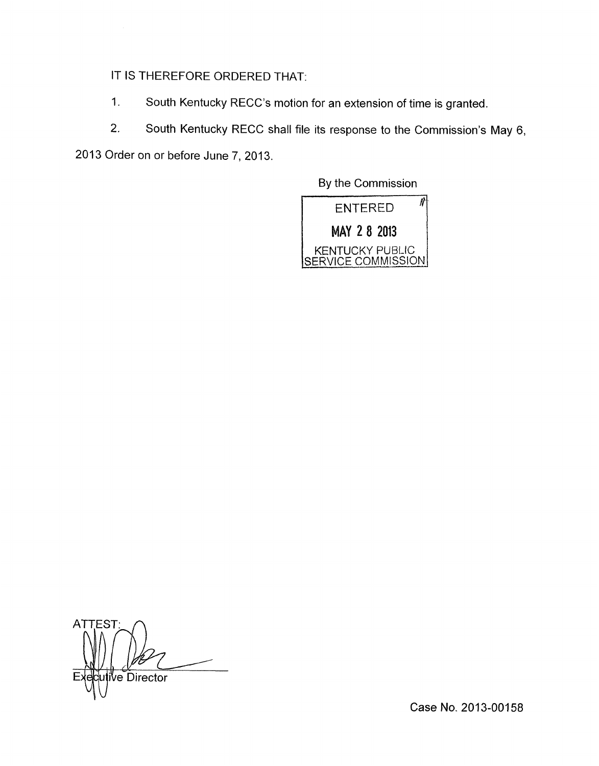IT IS THEREFORE ORDERED THAT:

- 1. South Kentucky RECC's motion for an extension of time is granted.
- 2. South Kentucky RECC shall file its response to the Commission's May 6,

2013 Order on or before June *7,* 2013.

By the Commission

 $\overline{\mathcal{M}}$ **ENTERED** MAY 2 8 2013 KENTUCKY PUBLIC <u>SERVICE</u>

**ATTEST Ve Director** 

Case **No.** 2013-00158